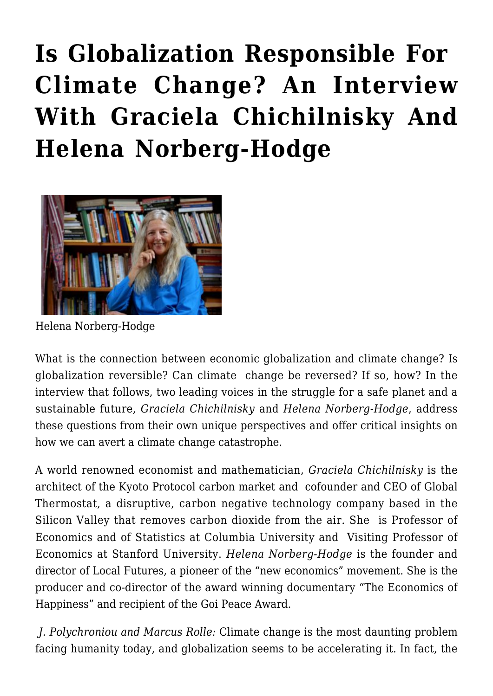## **[Is Globalization Responsible For](https://rozenbergquarterly.com/is-globalization-responsible-for-climate-change-an-interview-with-graciela-chichilnisky-and-helena-norberg-hodge/)  [Climate Change? An Interview](https://rozenbergquarterly.com/is-globalization-responsible-for-climate-change-an-interview-with-graciela-chichilnisky-and-helena-norberg-hodge/) [With Graciela Chichilnisky And](https://rozenbergquarterly.com/is-globalization-responsible-for-climate-change-an-interview-with-graciela-chichilnisky-and-helena-norberg-hodge/) [Helena Norberg-Hodge](https://rozenbergquarterly.com/is-globalization-responsible-for-climate-change-an-interview-with-graciela-chichilnisky-and-helena-norberg-hodge/)**



Helena Norberg-Hodge

What is the connection between economic globalization and climate change? Is globalization reversible? Can climate change be reversed? If so, how? In the interview that follows, two leading voices in the struggle for a safe planet and a sustainable future, *Graciela Chichilnisky* and *Helena Norberg-Hodge*, address these questions from their own unique perspectives and offer critical insights on how we can avert a climate change catastrophe.

A world renowned economist and mathematician, *Graciela Chichilnisky* is the architect of the Kyoto Protocol carbon market and cofounder and CEO of Global Thermostat, a disruptive, carbon negative technology company based in the Silicon Valley that removes carbon dioxide from the air. She is Professor of Economics and of Statistics at Columbia University and Visiting Professor of Economics at Stanford University. *Helena Norberg-Hodge* is the founder and director of Local Futures, a pioneer of the "new economics" movement. She is the producer and co-director of the award winning documentary "The Economics of Happiness" and recipient of the Goi Peace Award.

 *J. Polychroniou and Marcus Rolle:* Climate change is the most daunting problem facing humanity today, and globalization seems to be accelerating it. In fact, the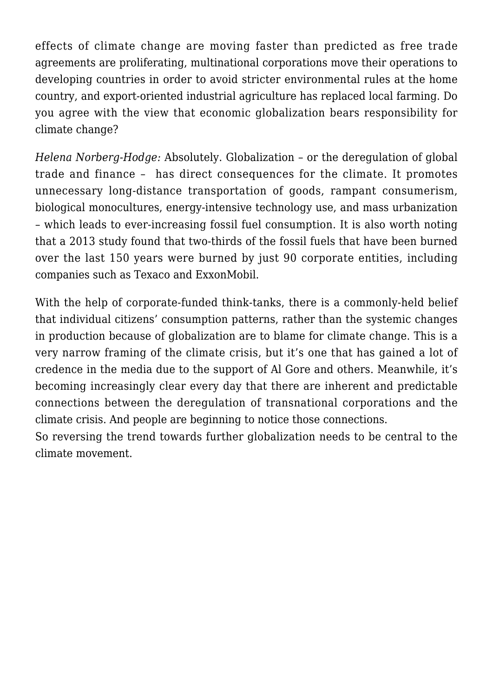effects of climate change are moving faster than predicted as free trade agreements are proliferating, multinational corporations move their operations to developing countries in order to avoid stricter environmental rules at the home country, and export-oriented industrial agriculture has replaced local farming. Do you agree with the view that economic globalization bears responsibility for climate change?

*Helena Norberg-Hodge:* Absolutely. Globalization – or the deregulation of global trade and finance – has direct consequences for the climate. It promotes unnecessary long-distance transportation of goods, rampant consumerism, biological monocultures, energy-intensive technology use, and mass urbanization – which leads to ever-increasing fossil fuel consumption. It is also worth noting that a 2013 study found that two-thirds of the fossil fuels that have been burned over the last 150 years were burned by just 90 corporate entities, including companies such as Texaco and ExxonMobil.

With the help of corporate-funded think-tanks, there is a commonly-held belief that individual citizens' consumption patterns, rather than the systemic changes in production because of globalization are to blame for climate change. This is a very narrow framing of the climate crisis, but it's one that has gained a lot of credence in the media due to the support of Al Gore and others. Meanwhile, it's becoming increasingly clear every day that there are inherent and predictable connections between the deregulation of transnational corporations and the climate crisis. And people are beginning to notice those connections.

So reversing the trend towards further globalization needs to be central to the climate movement.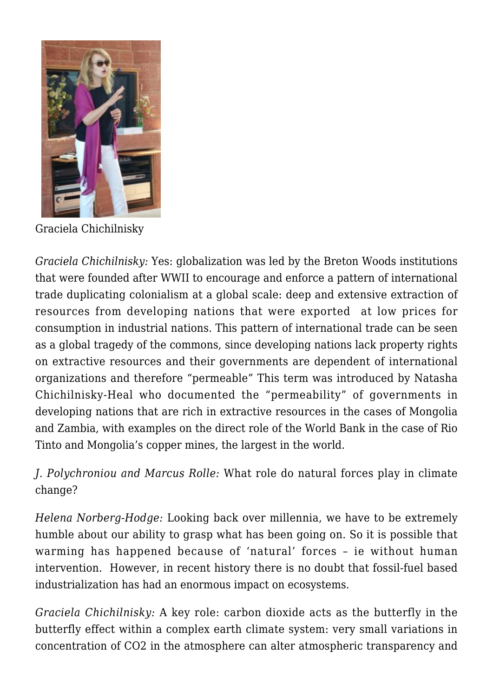

Graciela Chichilnisky

*Graciela Chichilnisky:* Yes: globalization was led by the Breton Woods institutions that were founded after WWII to encourage and enforce a pattern of international trade duplicating colonialism at a global scale: deep and extensive extraction of resources from developing nations that were exported at low prices for consumption in industrial nations. This pattern of international trade can be seen as a global tragedy of the commons, since developing nations lack property rights on extractive resources and their governments are dependent of international organizations and therefore "permeable" This term was introduced by Natasha Chichilnisky-Heal who documented the "permeability" of governments in developing nations that are rich in extractive resources in the cases of Mongolia and Zambia, with examples on the direct role of the World Bank in the case of Rio Tinto and Mongolia's copper mines, the largest in the world.

## *J. Polychroniou and Marcus Rolle:* What role do natural forces play in climate change?

*Helena Norberg-Hodge:* Looking back over millennia, we have to be extremely humble about our ability to grasp what has been going on. So it is possible that warming has happened because of 'natural' forces – ie without human intervention. However, in recent history there is no doubt that fossil-fuel based industrialization has had an enormous impact on ecosystems.

*Graciela Chichilnisky:* A key role: carbon dioxide acts as the butterfly in the butterfly effect within a complex earth climate system: very small variations in concentration of CO2 in the atmosphere can alter atmospheric transparency and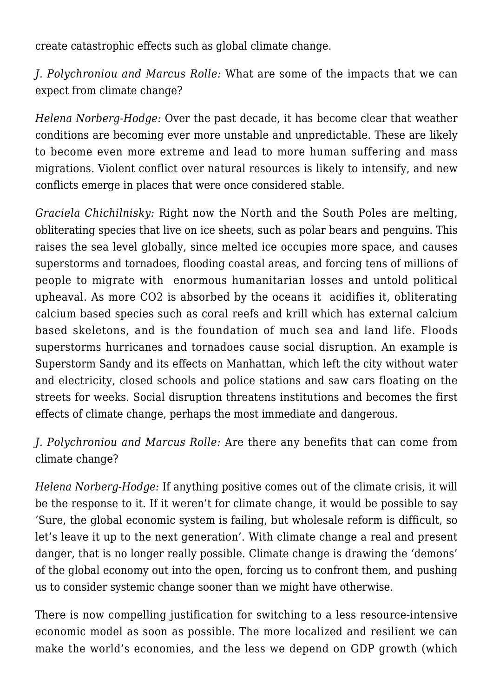create catastrophic effects such as global climate change.

*J. Polychroniou and Marcus Rolle:* What are some of the impacts that we can expect from climate change?

*Helena Norberg-Hodge:* Over the past decade, it has become clear that weather conditions are becoming ever more unstable and unpredictable. These are likely to become even more extreme and lead to more human suffering and mass migrations. Violent conflict over natural resources is likely to intensify, and new conflicts emerge in places that were once considered stable.

*Graciela Chichilnisky:* Right now the North and the South Poles are melting, obliterating species that live on ice sheets, such as polar bears and penguins. This raises the sea level globally, since melted ice occupies more space, and causes superstorms and tornadoes, flooding coastal areas, and forcing tens of millions of people to migrate with enormous humanitarian losses and untold political upheaval. As more CO2 is absorbed by the oceans it acidifies it, obliterating calcium based species such as coral reefs and krill which has external calcium based skeletons, and is the foundation of much sea and land life. Floods superstorms hurricanes and tornadoes cause social disruption. An example is Superstorm Sandy and its effects on Manhattan, which left the city without water and electricity, closed schools and police stations and saw cars floating on the streets for weeks. Social disruption threatens institutions and becomes the first effects of climate change, perhaps the most immediate and dangerous.

## *J. Polychroniou and Marcus Rolle:* Are there any benefits that can come from climate change?

*Helena Norberg-Hodge:* If anything positive comes out of the climate crisis, it will be the response to it. If it weren't for climate change, it would be possible to say 'Sure, the global economic system is failing, but wholesale reform is difficult, so let's leave it up to the next generation'. With climate change a real and present danger, that is no longer really possible. Climate change is drawing the 'demons' of the global economy out into the open, forcing us to confront them, and pushing us to consider systemic change sooner than we might have otherwise.

There is now compelling justification for switching to a less resource-intensive economic model as soon as possible. The more localized and resilient we can make the world's economies, and the less we depend on GDP growth (which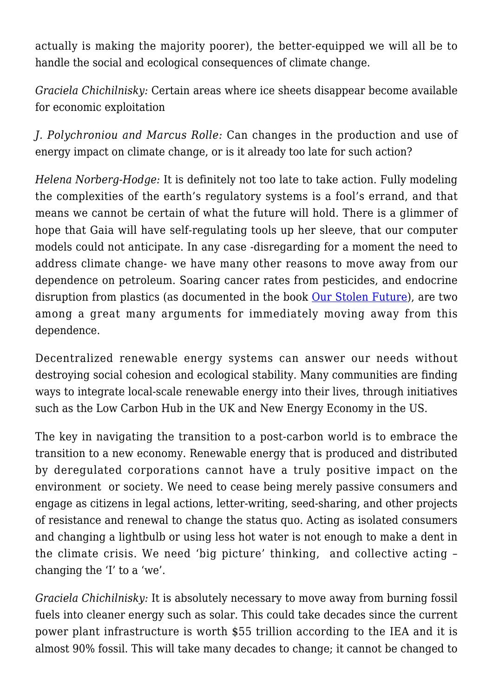actually is making the majority poorer), the better-equipped we will all be to handle the social and ecological consequences of climate change.

*Graciela Chichilnisky:* Certain areas where ice sheets disappear become available for economic exploitation

*J. Polychroniou and Marcus Rolle:* Can changes in the production and use of energy impact on climate change, or is it already too late for such action?

*Helena Norberg-Hodge:* It is definitely not too late to take action. Fully modeling the complexities of the earth's regulatory systems is a fool's errand, and that means we cannot be certain of what the future will hold. There is a glimmer of hope that Gaia will have self-regulating tools up her sleeve, that our computer models could not anticipate. In any case -disregarding for a moment the need to address climate change- we have many other reasons to move away from our dependence on petroleum. Soaring cancer rates from pesticides, and endocrine disruption from plastics (as documented in the book [Our Stolen Future\)](http://www.ourstolenfuture.org/), are two among a great many arguments for immediately moving away from this dependence.

Decentralized renewable energy systems can answer our needs without destroying social cohesion and ecological stability. Many communities are finding ways to integrate local-scale renewable energy into their lives, through initiatives such as the Low Carbon Hub in the UK and New Energy Economy in the US.

The key in navigating the transition to a post-carbon world is to embrace the transition to a new economy. Renewable energy that is produced and distributed by deregulated corporations cannot have a truly positive impact on the environment or society. We need to cease being merely passive consumers and engage as citizens in legal actions, letter-writing, seed-sharing, and other projects of resistance and renewal to change the status quo. Acting as isolated consumers and changing a lightbulb or using less hot water is not enough to make a dent in the climate crisis. We need 'big picture' thinking, and collective acting – changing the 'I' to a 'we'.

*Graciela Chichilnisky:* It is absolutely necessary to move away from burning fossil fuels into cleaner energy such as solar. This could take decades since the current power plant infrastructure is worth \$55 trillion according to the IEA and it is almost 90% fossil. This will take many decades to change; it cannot be changed to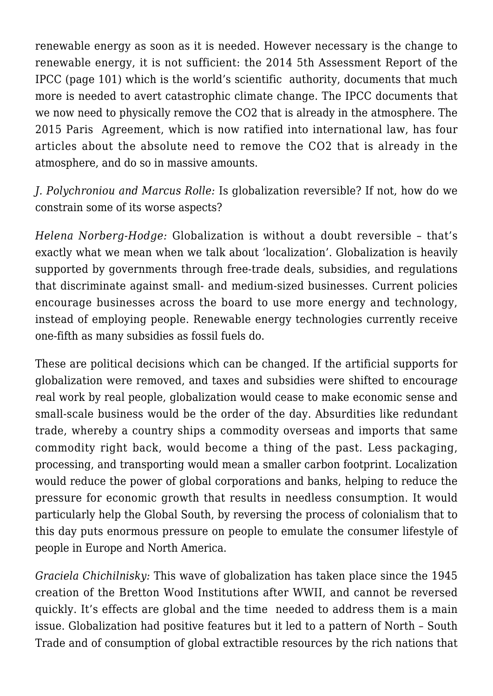renewable energy as soon as it is needed. However necessary is the change to renewable energy, it is not sufficient: the 2014 5th Assessment Report of the IPCC (page 101) which is the world's scientific authority, documents that much more is needed to avert catastrophic climate change. The IPCC documents that we now need to physically remove the CO2 that is already in the atmosphere. The 2015 Paris Agreement, which is now ratified into international law, has four articles about the absolute need to remove the CO2 that is already in the atmosphere, and do so in massive amounts.

*J. Polychroniou and Marcus Rolle:* Is globalization reversible? If not, how do we constrain some of its worse aspects?

*Helena Norberg-Hodge:* Globalization is without a doubt reversible – that's exactly what we mean when we talk about 'localization'. Globalization is heavily supported by governments through free-trade deals, subsidies, and regulations that discriminate against small- and medium-sized businesses. Current policies encourage businesses across the board to use more energy and technology, instead of employing people. Renewable energy technologies currently receive one-fifth as many subsidies as fossil fuels do.

These are political decisions which can be changed. If the artificial supports for globalization were removed, and taxes and subsidies were shifted to encourag*e r*eal work by real people, globalization would cease to make economic sense and small-scale business would be the order of the day. Absurdities like redundant trade, whereby a country ships a commodity overseas and imports that same commodity right back, would become a thing of the past. Less packaging, processing, and transporting would mean a smaller carbon footprint. Localization would reduce the power of global corporations and banks, helping to reduce the pressure for economic growth that results in needless consumption. It would particularly help the Global South, by reversing the process of colonialism that to this day puts enormous pressure on people to emulate the consumer lifestyle of people in Europe and North America.

*Graciela Chichilnisky:* This wave of globalization has taken place since the 1945 creation of the Bretton Wood Institutions after WWII, and cannot be reversed quickly. It's effects are global and the time needed to address them is a main issue. Globalization had positive features but it led to a pattern of North – South Trade and of consumption of global extractible resources by the rich nations that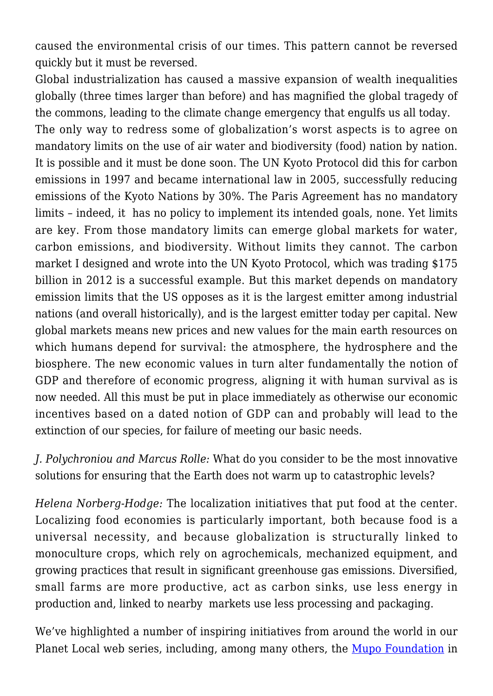caused the environmental crisis of our times. This pattern cannot be reversed quickly but it must be reversed.

Global industrialization has caused a massive expansion of wealth inequalities globally (three times larger than before) and has magnified the global tragedy of the commons, leading to the climate change emergency that engulfs us all today.

The only way to redress some of globalization's worst aspects is to agree on mandatory limits on the use of air water and biodiversity (food) nation by nation. It is possible and it must be done soon. The UN Kyoto Protocol did this for carbon emissions in 1997 and became international law in 2005, successfully reducing emissions of the Kyoto Nations by 30%. The Paris Agreement has no mandatory limits – indeed, it has no policy to implement its intended goals, none. Yet limits are key. From those mandatory limits can emerge global markets for water, carbon emissions, and biodiversity. Without limits they cannot. The carbon market I designed and wrote into the UN Kyoto Protocol, which was trading \$175 billion in 2012 is a successful example. But this market depends on mandatory emission limits that the US opposes as it is the largest emitter among industrial nations (and overall historically), and is the largest emitter today per capital. New global markets means new prices and new values for the main earth resources on which humans depend for survival: the atmosphere, the hydrosphere and the biosphere. The new economic values in turn alter fundamentally the notion of GDP and therefore of economic progress, aligning it with human survival as is now needed. All this must be put in place immediately as otherwise our economic incentives based on a dated notion of GDP can and probably will lead to the extinction of our species, for failure of meeting our basic needs.

*J. Polychroniou and Marcus Rolle:* What do you consider to be the most innovative solutions for ensuring that the Earth does not warm up to catastrophic levels?

*Helena Norberg-Hodge:* The localization initiatives that put food at the center. Localizing food economies is particularly important, both because food is a universal necessity, and because globalization is structurally linked to monoculture crops, which rely on agrochemicals, mechanized equipment, and growing practices that result in significant greenhouse gas emissions. Diversified, small farms are more productive, act as carbon sinks, use less energy in production and, linked to nearby markets use less processing and packaging.

We've highlighted a number of inspiring initiatives from around the world in our Planet Local web series, including, among many others, the [Mupo Foundation](http://www.localfutures.org/programs/global-to-local/planet-local/ecology/south-africa-earthlore-mupo-foundation-dzomo-la-mupo/) in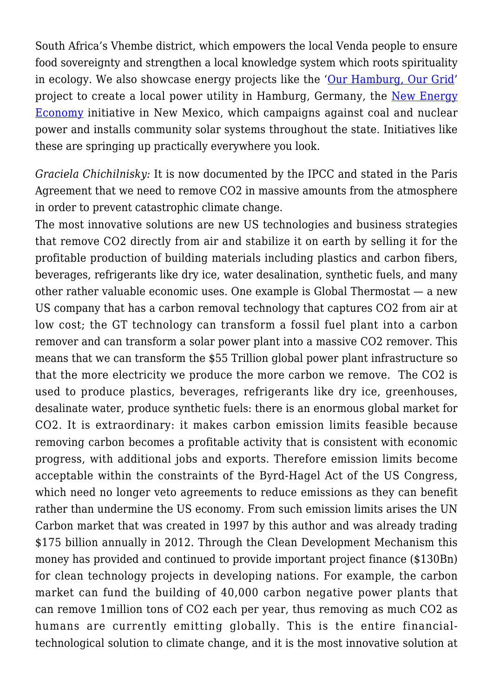South Africa's Vhembe district, which empowers the local Venda people to ensure food sovereignty and strengthen a local knowledge system which roots spirituality in ecology. We also showcase energy projects like the '[Our Hamburg, Our Grid'](http://www.localfutures.org/programs/global-to-local/planet-local/local-energy/germany-hamburg-grid/) project to create a local power utility in Hamburg, Germany, the [New Energy](http://www.localfutures.org/programs/global-to-local/planet-local/local-energy/us-new-energy-economy/) [Economy](http://www.localfutures.org/programs/global-to-local/planet-local/local-energy/us-new-energy-economy/) initiative in New Mexico, which campaigns against coal and nuclear power and installs community solar systems throughout the state. Initiatives like these are springing up practically everywhere you look.

*Graciela Chichilnisky:* It is now documented by the IPCC and stated in the Paris Agreement that we need to remove CO2 in massive amounts from the atmosphere in order to prevent catastrophic climate change.

The most innovative solutions are new US technologies and business strategies that remove CO2 directly from air and stabilize it on earth by selling it for the profitable production of building materials including plastics and carbon fibers, beverages, refrigerants like dry ice, water desalination, synthetic fuels, and many other rather valuable economic uses. One example is Global Thermostat — a new US company that has a carbon removal technology that captures CO2 from air at low cost; the GT technology can transform a fossil fuel plant into a carbon remover and can transform a solar power plant into a massive CO2 remover. This means that we can transform the \$55 Trillion global power plant infrastructure so that the more electricity we produce the more carbon we remove. The CO2 is used to produce plastics, beverages, refrigerants like dry ice, greenhouses, desalinate water, produce synthetic fuels: there is an enormous global market for CO2. It is extraordinary: it makes carbon emission limits feasible because removing carbon becomes a profitable activity that is consistent with economic progress, with additional jobs and exports. Therefore emission limits become acceptable within the constraints of the Byrd-Hagel Act of the US Congress, which need no longer veto agreements to reduce emissions as they can benefit rather than undermine the US economy. From such emission limits arises the UN Carbon market that was created in 1997 by this author and was already trading \$175 billion annually in 2012. Through the Clean Development Mechanism this money has provided and continued to provide important project finance (\$130Bn) for clean technology projects in developing nations. For example, the carbon market can fund the building of 40,000 carbon negative power plants that can remove 1million tons of CO2 each per year, thus removing as much CO2 as humans are currently emitting globally. This is the entire financialtechnological solution to climate change, and it is the most innovative solution at